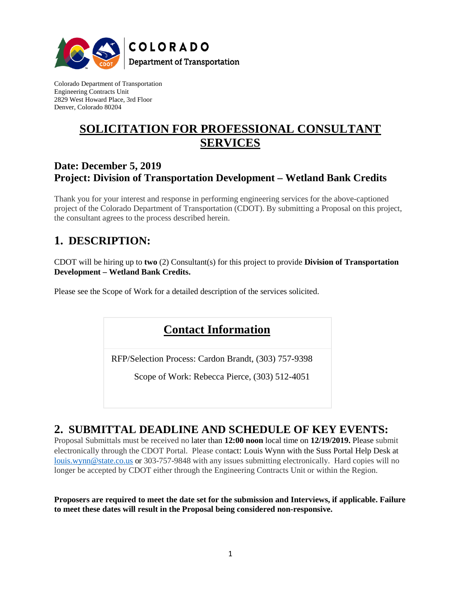

Colorado Department of Transportation Engineering Contracts Unit 2829 West Howard Place, 3rd Floor Denver, Colorado 80204

# **SOLICITATION FOR PROFESSIONAL CONSULTANT SERVICES**

### **Date: December 5, 2019 Project: Division of Transportation Development – Wetland Bank Credits**

Thank you for your interest and response in performing engineering services for the above-captioned project of the Colorado Department of Transportation (CDOT). By submitting a Proposal on this project, the consultant agrees to the process described herein.

## **1. DESCRIPTION:**

CDOT will be hiring up to **two** (2) Consultant(s) for this project to provide **Division of Transportation Development – Wetland Bank Credits.** 

Please see the Scope of Work for a detailed description of the services solicited.

## **Contact Information**

RFP/Selection Process: Cardon Brandt, (303) 757-9398

Scope of Work: Rebecca Pierce, (303) 512-4051

## **2. SUBMITTAL DEADLINE AND SCHEDULE OF KEY EVENTS:**

Proposal Submittals must be received no later than **12:00 noon** local time on **12/19/2019.** Please submit electronically through the CDOT Portal. Please contact: Louis Wynn with the Suss Portal Help Desk at [louis.wynn@state.co.us](mailto:louis.wynn@state.co.us) or 303-757-9848 with any issues submitting electronically. Hard copies will no longer be accepted by CDOT either through the Engineering Contracts Unit or within the Region.

**Proposers are required to meet the date set for the submission and Interviews, if applicable. Failure to meet these dates will result in the Proposal being considered non-responsive.**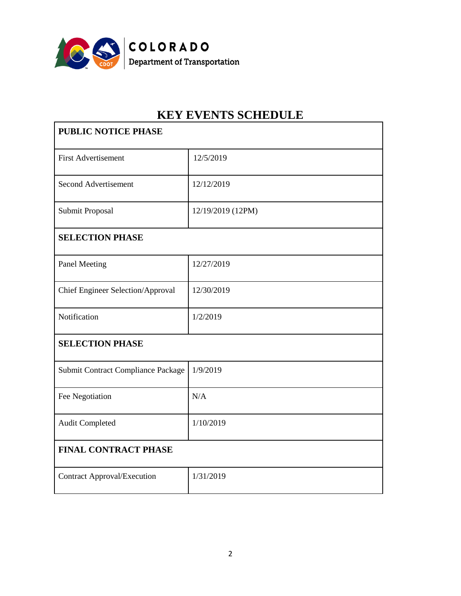

# **KEY EVENTS SCHEDULE**

| <b>PUBLIC NOTICE PHASE</b>               |                   |
|------------------------------------------|-------------------|
| <b>First Advertisement</b>               | 12/5/2019         |
| <b>Second Advertisement</b>              | 12/12/2019        |
| Submit Proposal                          | 12/19/2019 (12PM) |
| <b>SELECTION PHASE</b>                   |                   |
| <b>Panel Meeting</b>                     | 12/27/2019        |
| <b>Chief Engineer Selection/Approval</b> | 12/30/2019        |
| Notification                             | 1/2/2019          |
| <b>SELECTION PHASE</b>                   |                   |
| Submit Contract Compliance Package       | 1/9/2019          |
| Fee Negotiation                          | N/A               |
| <b>Audit Completed</b>                   | 1/10/2019         |
| <b>FINAL CONTRACT PHASE</b>              |                   |
| <b>Contract Approval/Execution</b>       | 1/31/2019         |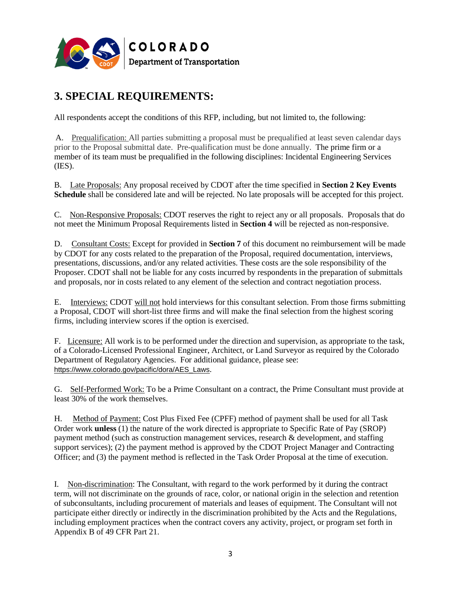

# **3. SPECIAL REQUIREMENTS:**

All respondents accept the conditions of this RFP, including, but not limited to, the following:

A. Prequalification: All parties submitting a proposal must be prequalified at least seven calendar days prior to the Proposal submittal date. Pre-qualification must be done annually. The prime firm or a member of its team must be prequalified in the following disciplines: Incidental Engineering Services (IES).

B. Late Proposals: Any proposal received by CDOT after the time specified in **Section 2 Key Events Schedule** shall be considered late and will be rejected. No late proposals will be accepted for this project.

C. Non-Responsive Proposals: CDOT reserves the right to reject any or all proposals. Proposals that do not meet the Minimum Proposal Requirements listed in **Section 4** will be rejected as non-responsive.

D. Consultant Costs: Except for provided in **Section 7** of this document no reimbursement will be made by CDOT for any costs related to the preparation of the Proposal, required documentation, interviews, presentations, discussions, and/or any related activities. These costs are the sole responsibility of the Proposer. CDOT shall not be liable for any costs incurred by respondents in the preparation of submittals and proposals, nor in costs related to any element of the selection and contract negotiation process.

E. Interviews: CDOT will not hold interviews for this consultant selection. From those firms submitting a Proposal, CDOT will short-list three firms and will make the final selection from the highest scoring firms, including interview scores if the option is exercised.

F. Licensure: All work is to be performed under the direction and supervision, as appropriate to the task, of a Colorado-Licensed Professional Engineer, Architect, or Land Surveyor as required by the Colorado Department of Regulatory Agencies. For additional guidance, please see: [https://www.colorado.gov/pacific/dora/AES\\_Laws](https://www.colorado.gov/pacific/dora/AES_Laws).

G. Self-Performed Work: To be a Prime Consultant on a contract, the Prime Consultant must provide at least 30% of the work themselves.

H. Method of Payment: Cost Plus Fixed Fee (CPFF) method of payment shall be used for all Task Order work **unless** (1) the nature of the work directed is appropriate to Specific Rate of Pay (SROP) payment method (such as construction management services, research & development, and staffing support services); (2) the payment method is approved by the CDOT Project Manager and Contracting Officer; and (3) the payment method is reflected in the Task Order Proposal at the time of execution.

I. Non-discrimination: The Consultant, with regard to the work performed by it during the contract term, will not discriminate on the grounds of race, color, or national origin in the selection and retention of subconsultants, including procurement of materials and leases of equipment. The Consultant will not participate either directly or indirectly in the discrimination prohibited by the Acts and the Regulations, including employment practices when the contract covers any activity, project, or program set forth in Appendix B of 49 CFR Part 21.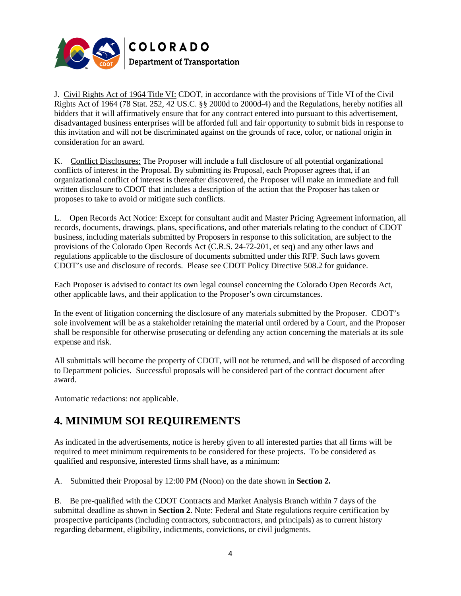

J. Civil Rights Act of 1964 Title VI: CDOT, in accordance with the provisions of Title VI of the Civil Rights Act of 1964 (78 Stat. 252, 42 US.C. §§ 2000d to 2000d-4) and the Regulations, hereby notifies all bidders that it will affirmatively ensure that for any contract entered into pursuant to this advertisement, disadvantaged business enterprises will be afforded full and fair opportunity to submit bids in response to this invitation and will not be discriminated against on the grounds of race, color, or national origin in consideration for an award.

K. Conflict Disclosures: The Proposer will include a full disclosure of all potential organizational conflicts of interest in the Proposal. By submitting its Proposal, each Proposer agrees that, if an organizational conflict of interest is thereafter discovered, the Proposer will make an immediate and full written disclosure to CDOT that includes a description of the action that the Proposer has taken or proposes to take to avoid or mitigate such conflicts.

L. Open Records Act Notice: Except for consultant audit and Master Pricing Agreement information, all records, documents, drawings, plans, specifications, and other materials relating to the conduct of CDOT business, including materials submitted by Proposers in response to this solicitation, are subject to the provisions of the Colorado Open Records Act (C.R.S. 24-72-201, et seq) and any other laws and regulations applicable to the disclosure of documents submitted under this RFP. Such laws govern CDOT's use and disclosure of records. Please see CDOT Policy Directive 508.2 for guidance.

Each Proposer is advised to contact its own legal counsel concerning the Colorado Open Records Act, other applicable laws, and their application to the Proposer's own circumstances.

In the event of litigation concerning the disclosure of any materials submitted by the Proposer. CDOT's sole involvement will be as a stakeholder retaining the material until ordered by a Court, and the Proposer shall be responsible for otherwise prosecuting or defending any action concerning the materials at its sole expense and risk.

All submittals will become the property of CDOT, will not be returned, and will be disposed of according to Department policies. Successful proposals will be considered part of the contract document after award.

Automatic redactions: not applicable.

## **4. MINIMUM SOI REQUIREMENTS**

As indicated in the advertisements, notice is hereby given to all interested parties that all firms will be required to meet minimum requirements to be considered for these projects. To be considered as qualified and responsive, interested firms shall have, as a minimum:

A. Submitted their Proposal by 12:00 PM (Noon) on the date shown in **Section 2.**

B. Be pre-qualified with the CDOT Contracts and Market Analysis Branch within 7 days of the submittal deadline as shown in **Section 2**. Note: Federal and State regulations require certification by prospective participants (including contractors, subcontractors, and principals) as to current history regarding debarment, eligibility, indictments, convictions, or civil judgments.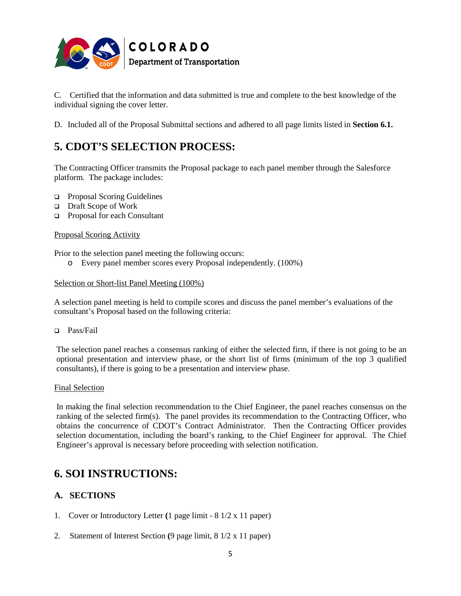

C. Certified that the information and data submitted is true and complete to the best knowledge of the individual signing the cover letter.

D. Included all of the Proposal Submittal sections and adhered to all page limits listed in **Section 6.1.**

# **5. CDOT'S SELECTION PROCESS:**

The Contracting Officer transmits the Proposal package to each panel member through the Salesforce platform. The package includes:

- Proposal Scoring Guidelines
- Draft Scope of Work
- □ Proposal for each Consultant

#### Proposal Scoring Activity

Prior to the selection panel meeting the following occurs:

o Every panel member scores every Proposal independently. (100%)

#### Selection or Short-list Panel Meeting (100%)

A selection panel meeting is held to compile scores and discuss the panel member's evaluations of the consultant's Proposal based on the following criteria:

Pass/Fail

The selection panel reaches a consensus ranking of either the selected firm, if there is not going to be an optional presentation and interview phase, or the short list of firms (minimum of the top 3 qualified consultants), if there is going to be a presentation and interview phase.

#### Final Selection

In making the final selection recommendation to the Chief Engineer, the panel reaches consensus on the ranking of the selected firm(s). The panel provides its recommendation to the Contracting Officer, who obtains the concurrence of CDOT's Contract Administrator. Then the Contracting Officer provides selection documentation, including the board's ranking, to the Chief Engineer for approval. The Chief Engineer's approval is necessary before proceeding with selection notification.

### **6. SOI INSTRUCTIONS:**

### **A. SECTIONS**

- 1. Cover or Introductory Letter **(**1 page limit 8 1/2 x 11 paper)
- 2. Statement of Interest Section **(**9 page limit, 8 1/2 x 11 paper)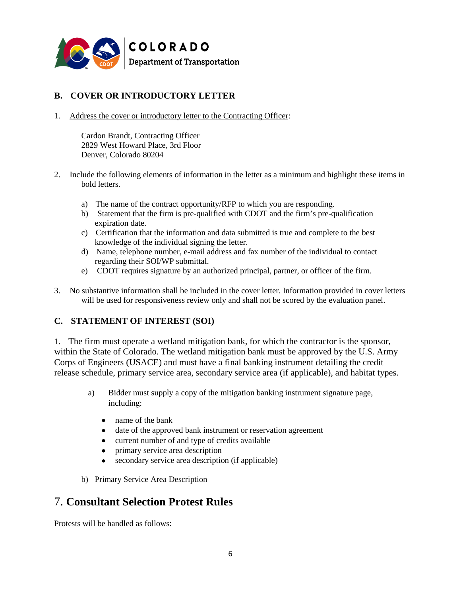

### **B. COVER OR INTRODUCTORY LETTER**

1. Address the cover or introductory letter to the Contracting Officer:

Cardon Brandt, Contracting Officer 2829 West Howard Place, 3rd Floor Denver, Colorado 80204

- 2. Include the following elements of information in the letter as a minimum and highlight these items in bold letters.
	- a) The name of the contract opportunity/RFP to which you are responding.
	- b) Statement that the firm is pre-qualified with CDOT and the firm's pre-qualification expiration date.
	- c) Certification that the information and data submitted is true and complete to the best knowledge of the individual signing the letter.
	- d) Name, telephone number, e-mail address and fax number of the individual to contact regarding their SOI/WP submittal.
	- e) CDOT requires signature by an authorized principal, partner, or officer of the firm.
- 3. No substantive information shall be included in the cover letter. Information provided in cover letters will be used for responsiveness review only and shall not be scored by the evaluation panel.

### **C. STATEMENT OF INTEREST (SOI)**

1. The firm must operate a wetland mitigation bank, for which the contractor is the sponsor, within the State of Colorado. The wetland mitigation bank must be approved by the U.S. Army Corps of Engineers (USACE) and must have a final banking instrument detailing the credit release schedule, primary service area, secondary service area (if applicable), and habitat types.

- a) Bidder must supply a copy of the mitigation banking instrument signature page, including:
	- name of the bank
	- date of the approved bank instrument or reservation agreement
	- current number of and type of credits available
	- primary service area description
	- secondary service area description (if applicable)
- b) Primary Service Area Description

### 7. **Consultant Selection Protest Rules**

Protests will be handled as follows: